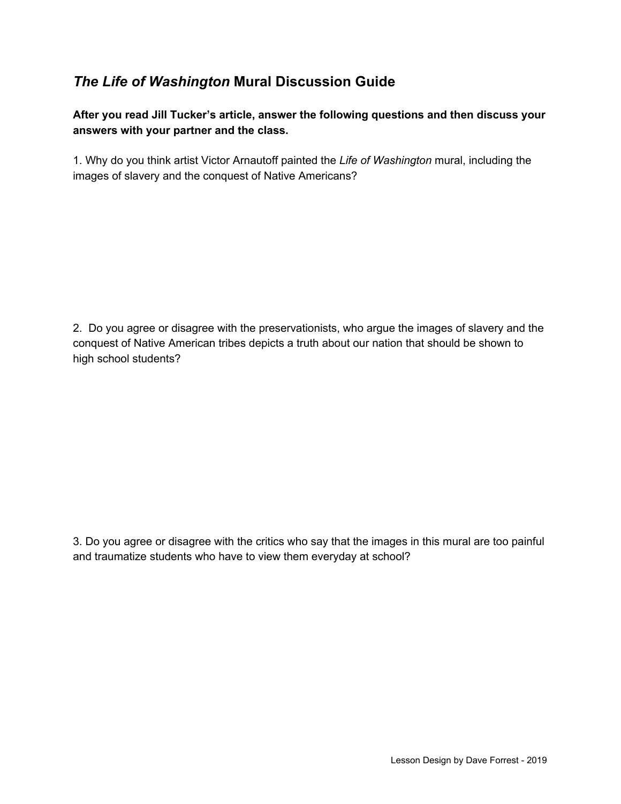## *The Life of Washington* **Mural Discussion Guide**

**After you read Jill Tucker's article, answer the following questions and then discuss your answers with your partner and the class.**

1. Why do you think artist Victor Arnautoff painted the *Life of Washington* mural, including the images of slavery and the conquest of Native Americans?

2. Do you agree or disagree with the preservationists, who argue the images of slavery and the conquest of Native American tribes depicts a truth about our nation that should be shown to high school students?

3. Do you agree or disagree with the critics who say that the images in this mural are too painful and traumatize students who have to view them everyday at school?